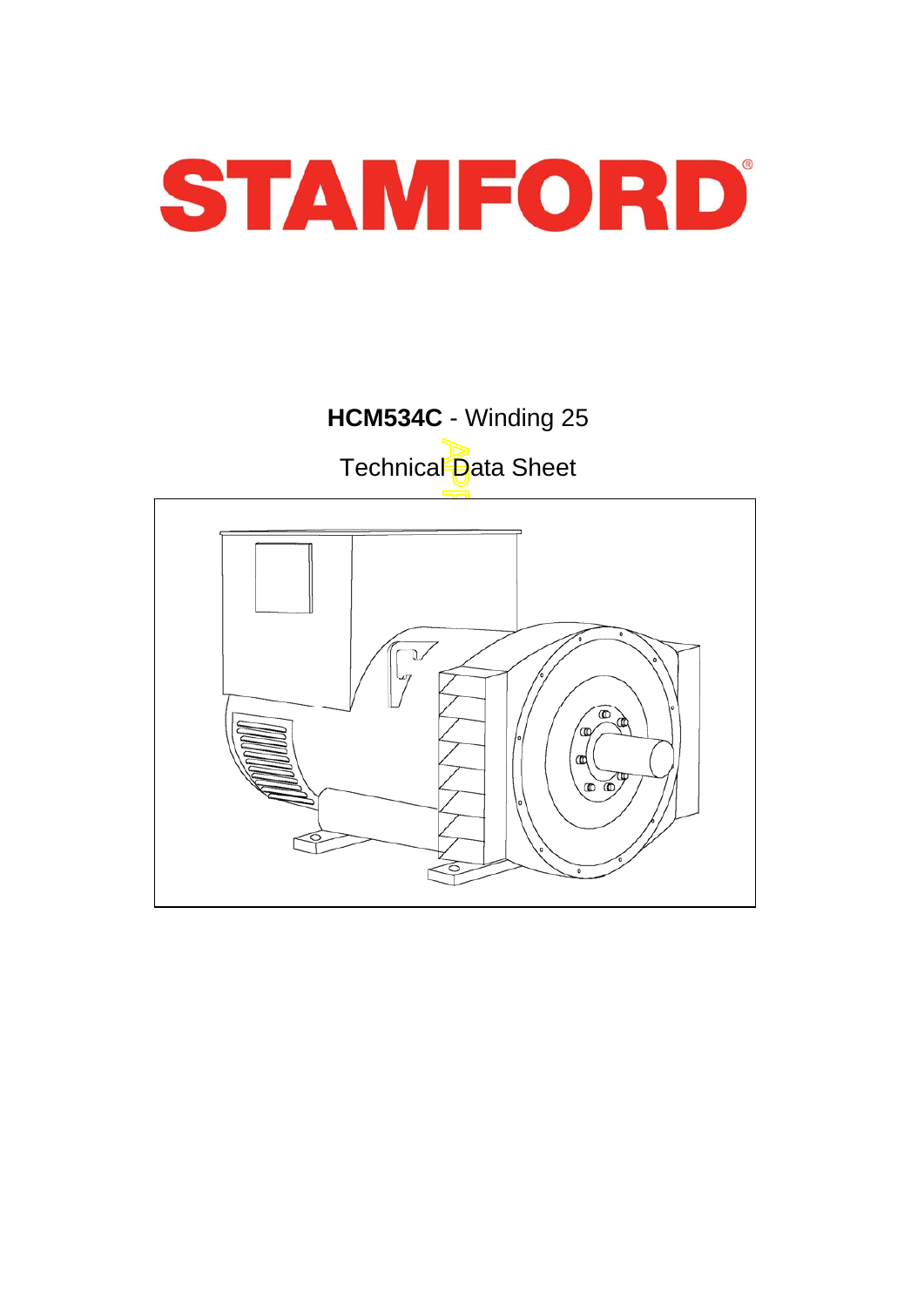

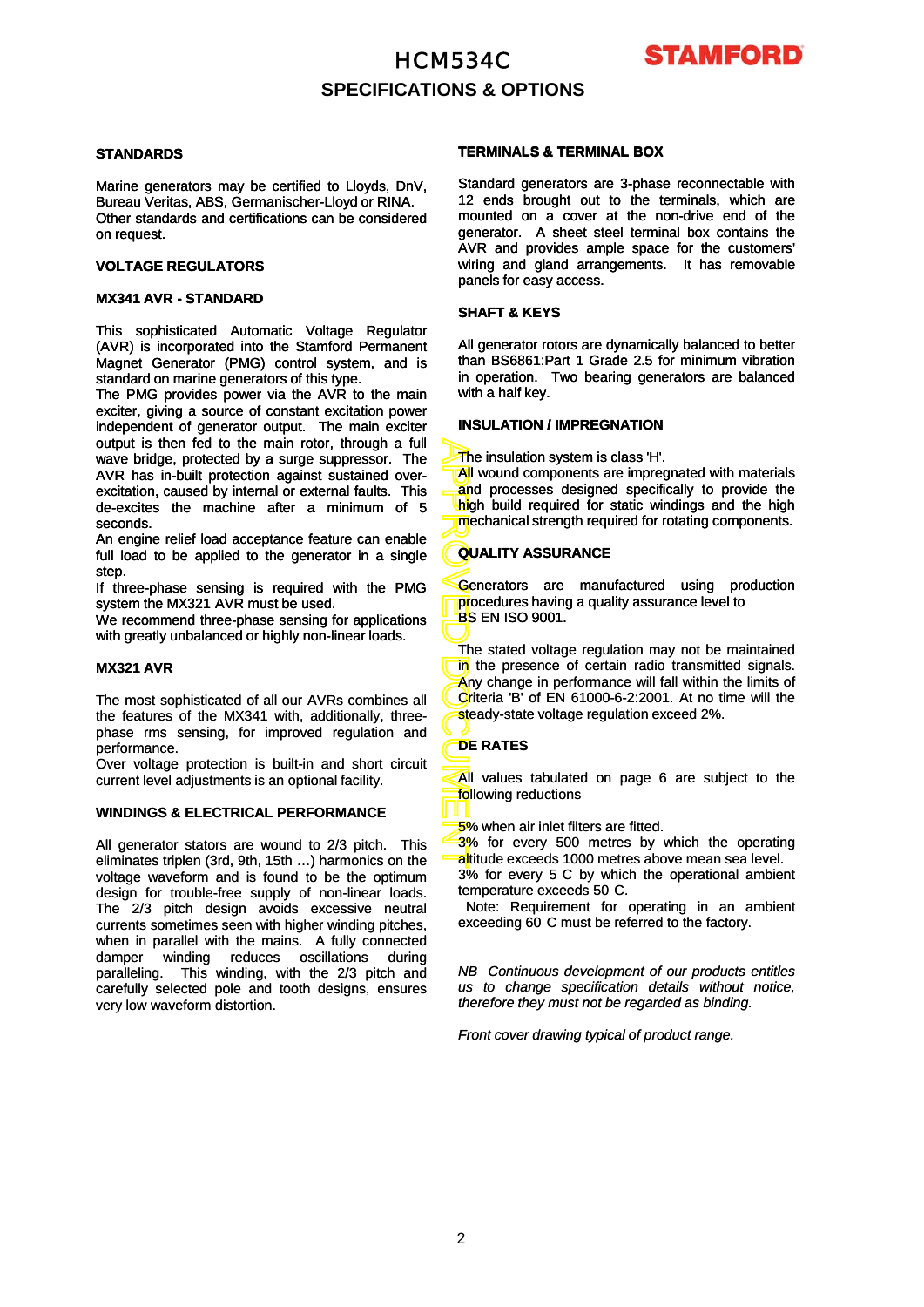# HCM534C **SPECIFICATIONS & OPTIONS**



#### **STANDARDS**

Marine generators may be certified to Lloyds, DnV, Bureau Veritas, ABS, Germanischer-Lloyd or RINA. Other standards and certifications can be considered on request.

#### **VOLTAGE REGULATORS**

### **MX341 AVR - STANDARD**

This sophisticated Automatic Voltage Regulator (AVR) is incorporated into the Stamford Permanent Magnet Generator (PMG) control system, and is standard on marine generators of this type.

The PMG provides power via the AVR to the main exciter, giving a source of constant excitation power independent of generator output. The main exciter output is then fed to the main rotor, through a full wave bridge, protected by a surge suppressor. The AVR has in-built protection against sustained overexcitation, caused by internal or external faults. This de-excites the machine after a minimum of 5 seconds.

An engine relief load acceptance feature can enable full load to be applied to the generator in a single step.

If three-phase sensing is required with the PMG system the MX321 AVR must be used.

We recommend three-phase sensing for applications with greatly unbalanced or highly non -linear loads with greatly unbalanced or highly non-linear loads.

#### **MX321 AVR**

The most sophisticated of all our AVRs combines all the features of the MX341 with, additionally, threephase rms sensing, for improved regulation and performance.

Over voltage protection is built-in and short circuit current level adjustments is an optional facility.

#### **WINDINGS & ELECTRICAL PERFORMANCE**

All generator stators are wound to 2/3 pitch. This eliminates triplen (3rd, 9th, 15th …) harmonics on the voltage waveform and is found to be the optimum design for trouble-free supply of non-linear loads. The 2/3 pitch design avoids excessive neutral currents sometimes seen with higher winding pitches, when in parallel with the mains. A fully connected damper winding reduces oscillations during paralleling. This winding, with the 2/3 pitch and carefully selected pole and tooth designs, ensures very low waveform distortion.

#### **TERMINALS & TERMINAL BOX**

Standard generators are 3-phase reconnectable with 12 ends brought out to the terminals, which are mounted on a cover at the non-drive end of the generator. A sheet steel terminal box contains the AVR and provides ample space for the customers' wiring and gland arrangements. It has removable panels for easy access.

#### **SHAFT & KEYS**

All generator rotors are dynamically balanced to better than BS6861:Part 1 Grade 2.5 for minimum vibration in operation. Two bearing generators are balanced with a half key.

#### **INSULATION / IMPREGNATION**

The insulation system is class 'H'.

**All wound components are impregnated with materials** and processes designed specifically to provide the high build required for static windings and the high mechanical strength required for rotating components.

### **QUALITY ASSURANCE**

Generators are manufactured using production procedures having a quality assurance level to BS EN ISO 9001.

APPROVED DOCUMENT DOCUMENT PROVED DUANT DU CONTRACTORI The stated voltage regulation may not be maintained in the presence of certain radio transmitted signals. Any change in performance will fall within the limits of Criteria 'B' of EN 61000-6-2:2001. At no time will the steady-state voltage regulation exceed 2%.

### **DE RATES**

All values tabulated on page 6 are subject to the following reductions

5% when air inlet filters are fitted.

3% for every 500 metres by which the operating altitude exceeds 1000 metres above mean sea level. 3% for every 5 C by which the operational ambient temperature exceeds 50 C.

Note: Requirement for operating in an ambient exceeding 60 C must be referred to the factory.

*NB Continuous development of our products entitles us to change specification details without notice, therefore they must not be regarded as binding.*

*Front cover drawing typical of product range.*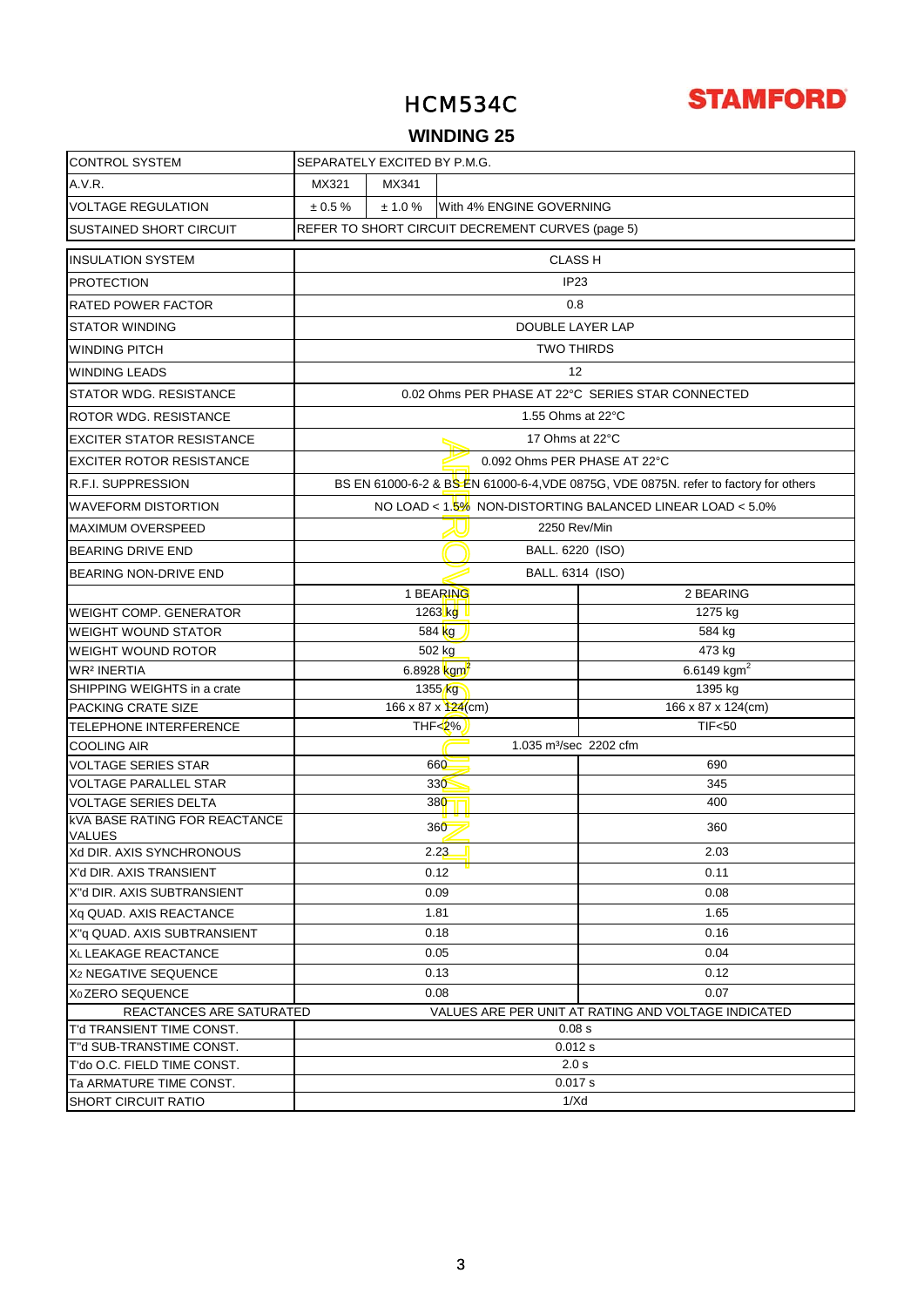

## **WINDING 25**

| <b>CONTROL SYSTEM</b>                                 | SEPARATELY EXCITED BY P.M.G.                     |                                     |                                    |                                                                                      |
|-------------------------------------------------------|--------------------------------------------------|-------------------------------------|------------------------------------|--------------------------------------------------------------------------------------|
| A.V.R.                                                | MX321                                            | MX341                               |                                    |                                                                                      |
| <b>VOLTAGE REGULATION</b>                             | $\pm 0.5 \%$                                     | ± 1.0 %<br>With 4% ENGINE GOVERNING |                                    |                                                                                      |
| <b>SUSTAINED SHORT CIRCUIT</b>                        | REFER TO SHORT CIRCUIT DECREMENT CURVES (page 5) |                                     |                                    |                                                                                      |
| <b>INSULATION SYSTEM</b>                              |                                                  |                                     | <b>CLASS H</b>                     |                                                                                      |
| <b>PROTECTION</b>                                     | IP <sub>23</sub>                                 |                                     |                                    |                                                                                      |
| <b>RATED POWER FACTOR</b>                             |                                                  |                                     | 0.8                                |                                                                                      |
| <b>STATOR WINDING</b>                                 |                                                  |                                     | DOUBLE LAYER LAP                   |                                                                                      |
| WINDING PITCH                                         |                                                  |                                     | <b>TWO THIRDS</b>                  |                                                                                      |
| <b>WINDING LEADS</b>                                  |                                                  |                                     | 12                                 |                                                                                      |
| STATOR WDG. RESISTANCE                                |                                                  |                                     |                                    | 0.02 Ohms PER PHASE AT 22°C SERIES STAR CONNECTED                                    |
| ROTOR WDG. RESISTANCE                                 |                                                  |                                     | 1.55 Ohms at 22°C                  |                                                                                      |
| <b>EXCITER STATOR RESISTANCE</b>                      |                                                  |                                     | 17 Ohms at 22°C                    |                                                                                      |
| <b>EXCITER ROTOR RESISTANCE</b>                       |                                                  |                                     | 0.092 Ohms PER PHASE AT 22°C       |                                                                                      |
| <b>R.F.I. SUPPRESSION</b>                             |                                                  |                                     |                                    | BS EN 61000-6-2 & BS EN 61000-6-4, VDE 0875G, VDE 0875N. refer to factory for others |
| <b>WAVEFORM DISTORTION</b>                            |                                                  |                                     |                                    | NO LOAD < 1.5% NON-DISTORTING BALANCED LINEAR LOAD < 5.0%                            |
| <b>MAXIMUM OVERSPEED</b>                              |                                                  |                                     | 2250 Rev/Min                       |                                                                                      |
| <b>BEARING DRIVE END</b>                              | BALL. 6220 (ISO)                                 |                                     |                                    |                                                                                      |
| <b>BEARING NON-DRIVE END</b>                          | BALL. 6314 (ISO)                                 |                                     |                                    |                                                                                      |
|                                                       |                                                  |                                     | 1 BEARING                          | 2 BEARING                                                                            |
| <b>WEIGHT COMP. GENERATOR</b>                         |                                                  |                                     | $1263$ kg                          | 1275 kg                                                                              |
| <b>WEIGHT WOUND STATOR</b>                            |                                                  |                                     | 584 kg                             | 584 kg                                                                               |
| <b>WEIGHT WOUND ROTOR</b>                             |                                                  |                                     | 502 kg                             | 473 kg                                                                               |
| <b>WR<sup>2</sup> INERTIA</b>                         |                                                  |                                     | 6.8928 $\text{kgm}^2$              | 6.6149 $kgm2$                                                                        |
| SHIPPING WEIGHTS in a crate                           |                                                  |                                     | 1355 <sub>kg</sub>                 | 1395 kg                                                                              |
| <b>PACKING CRATE SIZE</b>                             |                                                  |                                     | 166 x 87 x 124(cm)                 | 166 x 87 x 124(cm)                                                                   |
| TELEPHONE INTERFERENCE                                |                                                  |                                     | THF<2%                             | <b>TIF&lt;50</b>                                                                     |
| <b>COOLING AIR</b>                                    |                                                  |                                     | 1.035 m <sup>3</sup> /sec 2202 cfm |                                                                                      |
| <b>VOLTAGE SERIES STAR</b>                            |                                                  |                                     | 660                                | 690                                                                                  |
| <b>VOLTAGE PARALLEL STAR</b>                          |                                                  |                                     | 330                                | 345                                                                                  |
| <b>VOLTAGE SERIES DELTA</b>                           |                                                  |                                     | 380                                | 400                                                                                  |
| <b>kVA BASE RATING FOR REACTANCE</b><br><b>VALUES</b> |                                                  |                                     | 360                                | 360                                                                                  |
| Xd DIR. AXIS SYNCHRONOUS                              |                                                  |                                     | 2.2 <mark>3.</mark>                | 2.03                                                                                 |
| X'd DIR. AXIS TRANSIENT                               |                                                  |                                     | 0.12                               | 0.11                                                                                 |
| X"d DIR. AXIS SUBTRANSIENT                            |                                                  |                                     | 0.09                               | 0.08                                                                                 |
| Xq QUAD. AXIS REACTANCE                               |                                                  |                                     | 1.81                               | 1.65                                                                                 |
| X"q QUAD. AXIS SUBTRANSIENT                           |                                                  |                                     | 0.18                               | 0.16                                                                                 |
| XL LEAKAGE REACTANCE                                  |                                                  |                                     | 0.05                               | 0.04                                                                                 |
| X <sub>2</sub> NEGATIVE SEQUENCE                      |                                                  |                                     | 0.13                               | 0.12                                                                                 |
| X <sub>0</sub> ZERO SEQUENCE                          |                                                  |                                     | 0.08                               | 0.07                                                                                 |
| REACTANCES ARE SATURATED                              |                                                  |                                     |                                    | VALUES ARE PER UNIT AT RATING AND VOLTAGE INDICATED                                  |
| T'd TRANSIENT TIME CONST.                             |                                                  |                                     | 0.08 s                             |                                                                                      |
| T"d SUB-TRANSTIME CONST.                              | 0.012 s                                          |                                     |                                    |                                                                                      |
| T'do O.C. FIELD TIME CONST.                           | 2.0 s                                            |                                     |                                    |                                                                                      |
| Ta ARMATURE TIME CONST.<br><b>SHORT CIRCUIT RATIO</b> | 0.017 s                                          |                                     |                                    |                                                                                      |
|                                                       | 1/Xd                                             |                                     |                                    |                                                                                      |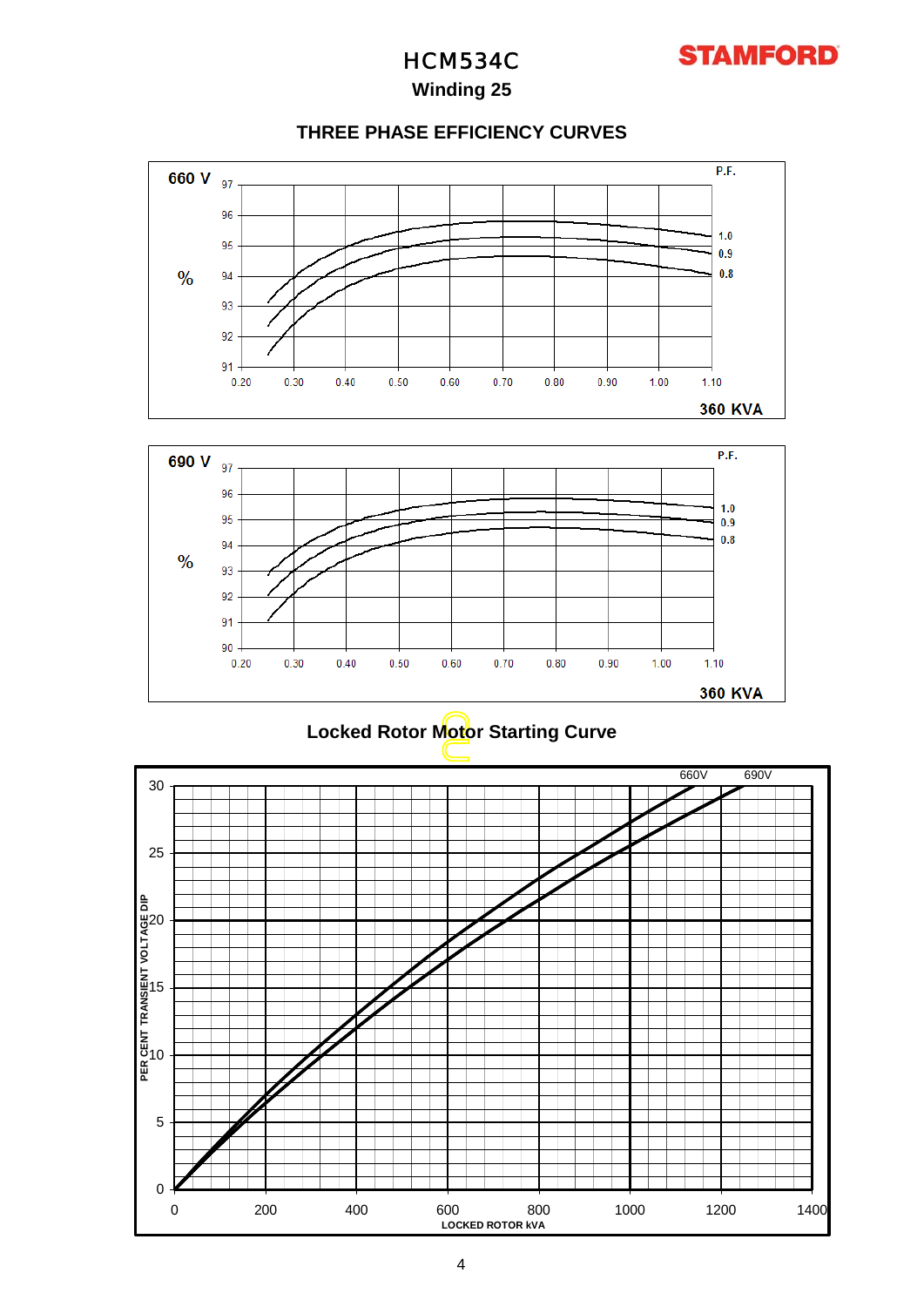

### **Winding 25**

### **THREE PHASE EFFICIENCY CURVES**





### **Locked Rotor Motor Starting Curve**

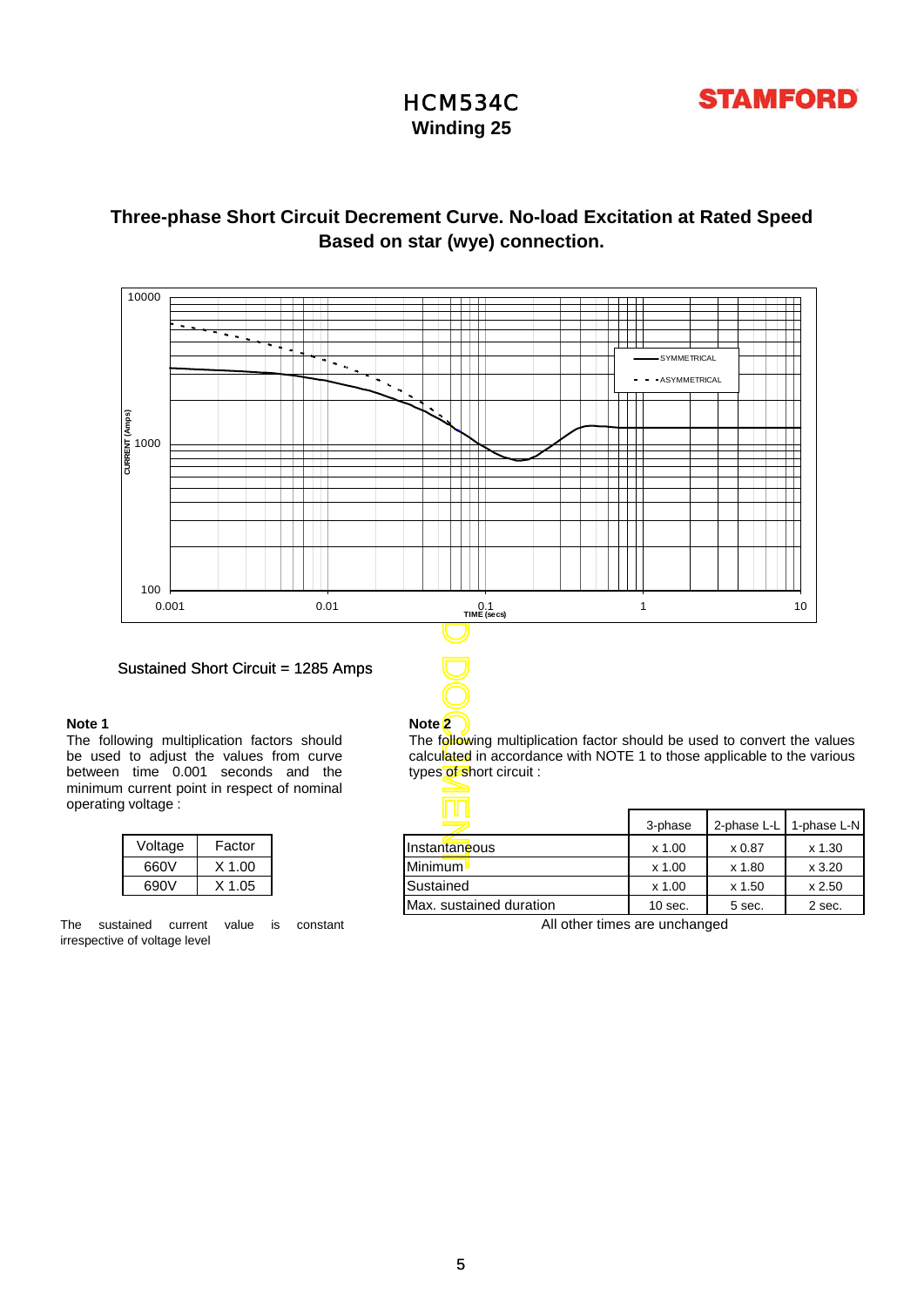

**Winding 25**

### **Based on star (wye) connection. Three-phase Short Circuit Decrement Curve. No-load Excitation at Rated Speed**



### Sustained Short Circuit = 1285 Amps

### **Note 1**

The following multiplication factors should be used to adjust the values from curve between time 0.001 seconds and the minimum current point in respect of nominal operating voltage :

| Voltage | Factor   |  |  |
|---------|----------|--|--|
| 660V    | $X$ 1.00 |  |  |
| 690V    | $X$ 1.05 |  |  |

The sustained current value is constant irrespective of voltage level

**Note 2** The following multiplication factor should be used to convert the values calculated in accordance with NOTE 1 to those applicable to the various types of short circuit :

| uildue . |        |                         |           |             |             |
|----------|--------|-------------------------|-----------|-------------|-------------|
|          |        | 1 U L<br>$\equiv$       | 3-phase   | 2-phase L-L | 1-phase L-N |
| Voltage  | Factor | Instantaneous           | $x$ 1.00  | x 0.87      | x 1.30      |
| 660V     | X 1.00 | Minimum L               | x 1.00    | x 1.80      | x3.20       |
| 690V     | X 1.05 | Sustained               | x 1.00    | x 1.50      | x 2.50      |
|          |        | Max. sustained duration | $10$ sec. | 5 sec.      | 2 sec.      |

All other times are unchanged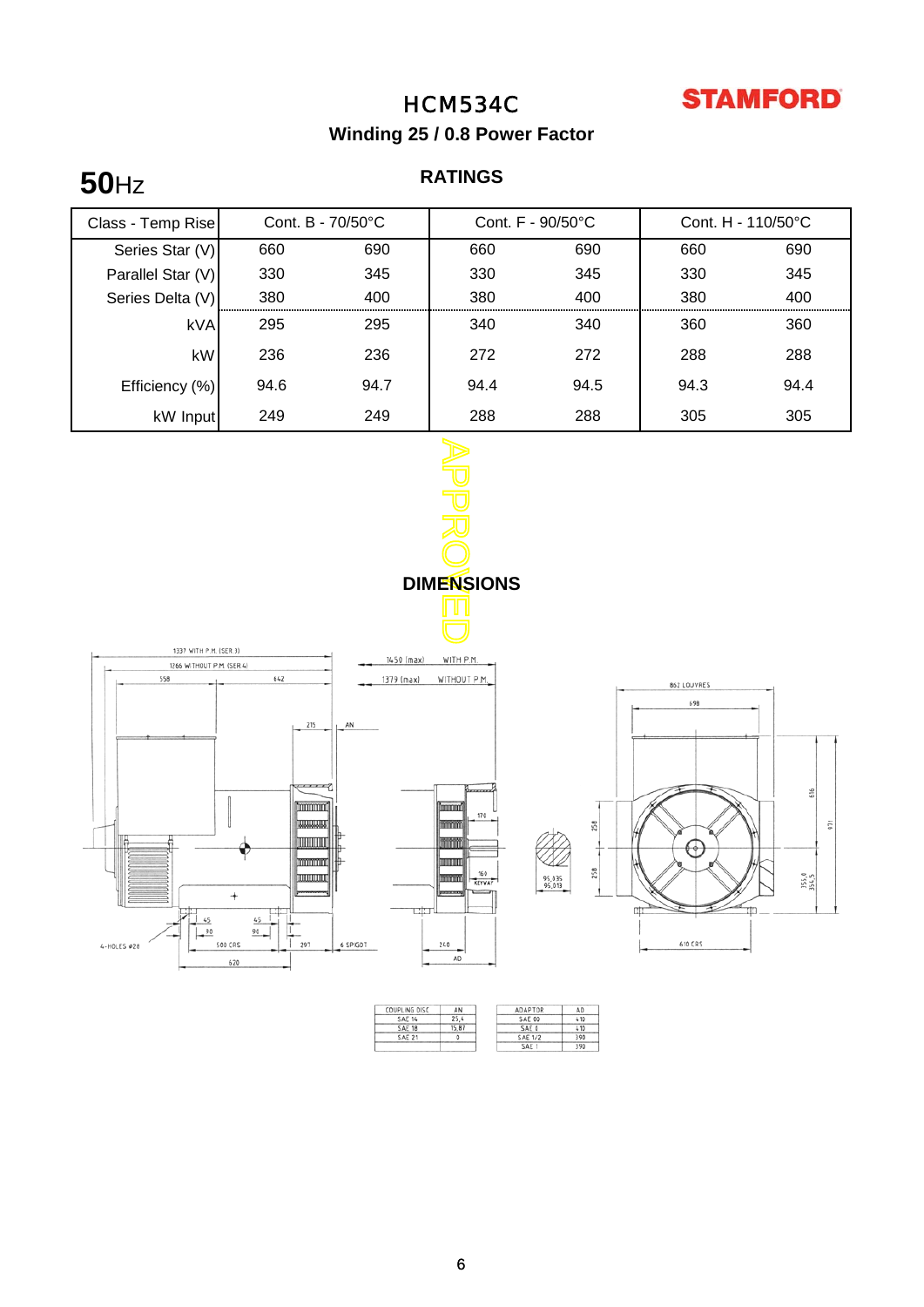

**Winding 25 / 0.8 Power Factor**

# **50**Hz

### **RATINGS**



| COUPLING DISC | AN    | ADAPTOR        | AD  |
|---------------|-------|----------------|-----|
| <b>SAE 14</b> | 25.4  | <b>SAE 00</b>  | 410 |
| <b>SAE 18</b> | 15.87 | SAE 0          | 410 |
| <b>SAE 21</b> |       | <b>SAE 1/2</b> | 390 |
|               |       | <b>SAF</b>     | 390 |